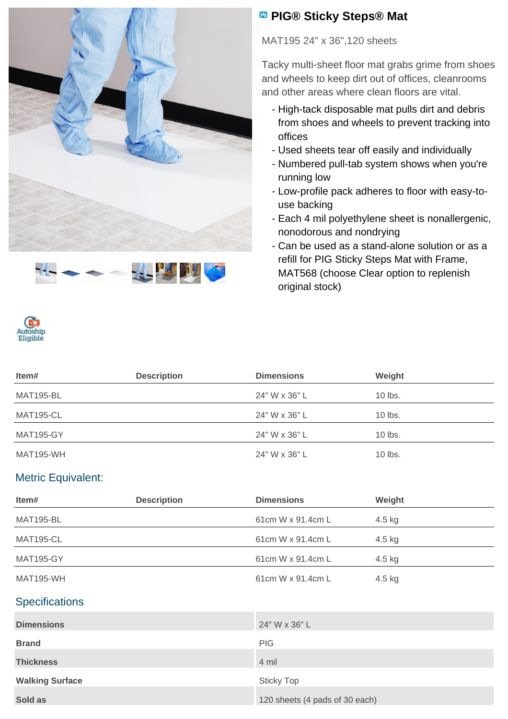



## **<sup><b>B</sup>** PIG® Sticky Steps® Mat</sup>

MAT195 24" x 36",120 sheets

Tacky multi-sheet floor mat grabs grime from shoes and wheels to keep dirt out of offices, cleanrooms and other areas where clean floors are vital.

- High-tack disposable mat pulls dirt and debris from shoes and wheels to prevent tracking into offices
- Used sheets tear off easily and individually
- Numbered pull-tab system shows when you're running low
- Low-profile pack adheres to floor with easy-touse backing
- Each 4 mil polyethylene sheet is nonallergenic, nonodorous and nondrying
- Can be used as a stand-alone solution or as a refill for PIG Sticky Steps Mat with Frame, MAT568 (choose Clear option to replenish original stock)



| ltem#            | <b>Description</b> | <b>Dimensions</b> | Weight    |
|------------------|--------------------|-------------------|-----------|
| <b>MAT195-BL</b> |                    | 24" W x 36" L     | $10$ lbs. |
| <b>MAT195-CL</b> |                    | 24" W x 36" L     | $10$ lbs. |
| <b>MAT195-GY</b> |                    | 24" W x 36" L     | $10$ lbs. |
| MAT195-WH        |                    | 24" W x 36" L     | $10$ lbs. |

## Metric Equivalent:

| Item#                  | <b>Description</b> | <b>Dimensions</b>              | Weight |
|------------------------|--------------------|--------------------------------|--------|
| <b>MAT195-BL</b>       |                    | 61cm W x 91.4cm L              | 4.5 kg |
| <b>MAT195-CL</b>       |                    | 61cm W x 91.4cm L              | 4.5 kg |
| <b>MAT195-GY</b>       |                    | 61cm W x 91.4cm L              | 4.5 kg |
| <b>MAT195-WH</b>       |                    | 61cm W x 91.4cm L              | 4.5 kg |
| <b>Specifications</b>  |                    |                                |        |
| <b>Dimensions</b>      |                    | 24" W x 36" L                  |        |
| <b>Brand</b>           |                    | <b>PIG</b>                     |        |
| <b>Thickness</b>       |                    | 4 mil                          |        |
| <b>Walking Surface</b> |                    | <b>Sticky Top</b>              |        |
| Sold as                |                    | 120 sheets (4 pads of 30 each) |        |